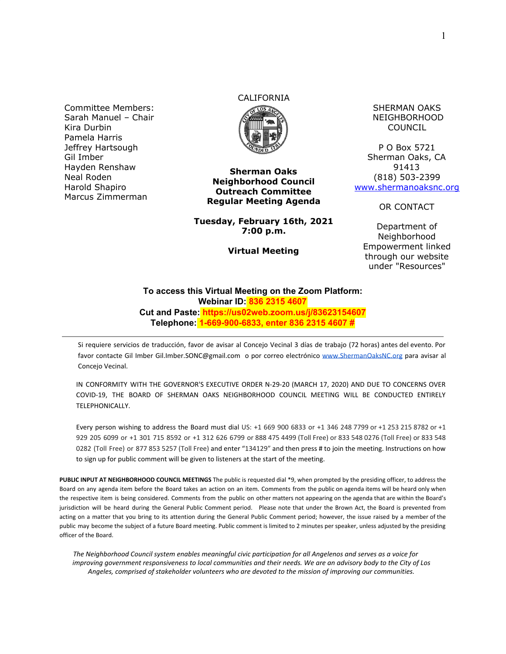Committee Members: Sarah Manuel – Chair Kira Durbin Pamela Harris Jeffrey Hartsough Gil Imber Hayden Renshaw Neal Roden Harold Shapiro Marcus Zimmerman

# CALIFORNIA



**Sherman Oaks Neighborhood Council Outreach Committee Regular Meeting Agenda**

**Tuesday, February 16th, 2021 7:00 p.m.**

**Virtual Meeting**

SHERMAN OAKS NEIGHBORHOOD COUNCIL

P O Box 5721 Sherman Oaks, CA 91413 (818) 503-2399 [www.shermanoaksnc.org](http://www.shermanoaksnc.org/)

OR CONTACT

Department of Neighborhood Empowerment linked through our website under "Resources"

#### **To access this Virtual Meeting on the Zoom Platform: Webinar ID: 836 2315 4607 Cut and Paste: https://us02web.zoom.us/j/83623154607 Telephone: 1-669-900-6833, enter 836 2315 4607 #**

Si requiere servicios de traducción, favor de avisar al Concejo Vecinal 3 días de trabajo (72 horas) antes del evento. Por favor contacte Gil Imber Gil.Imber.SONC@gmail.com o por correo electrónico [www.ShermanOaksNC.org](http://www.shermanoaksnc.org/) para avisar al Concejo Vecinal.

IN CONFORMITY WITH THE GOVERNOR'S EXECUTIVE ORDER N-29-20 (MARCH 17, 2020) AND DUE TO CONCERNS OVER COVID-19, THE BOARD OF SHERMAN OAKS NEIGHBORHOOD COUNCIL MEETING WILL BE CONDUCTED ENTIRELY TELEPHONICALLY.

Every person wishing to address the Board must dial US: +1 669 900 6833 or +1 346 248 7799 or +1 253 215 8782 or +1 929 205 6099 or +1 301 715 8592 or +1 312 626 6799 or 888 475 4499 (Toll Free) or 833 548 0276 (Toll Free) or 833 548 0282 (Toll Free) or 877 853 5257 (Toll Free) and enter "134129" and then press # to join the meeting. Instructions on how to sign up for public comment will be given to listeners at the start of the meeting.

**PUBLIC INPUT AT NEIGHBORHOOD COUNCIL MEETINGS** The public is requested dial \*9, when prompted by the presiding officer, to address the Board on any agenda item before the Board takes an action on an item. Comments from the public on agenda items will be heard only when the respective item is being considered. Comments from the public on other matters not appearing on the agenda that are within the Board's jurisdiction will be heard during the General Public Comment period. Please note that under the Brown Act, the Board is prevented from acting on a matter that you bring to its attention during the General Public Comment period; however, the issue raised by a member of the public may become the subject of a future Board meeting. Public comment is limited to 2 minutes per speaker, unless adjusted by the presiding officer of the Board.

*The Neighborhood Council system enables meaningful civic participation for all Angelenos and serves as a voice for improving government responsiveness to local communities and their needs. We are an advisory body to the City of Los Angeles, comprised of stakeholder volunteers who are devoted to the mission of improving our communities.*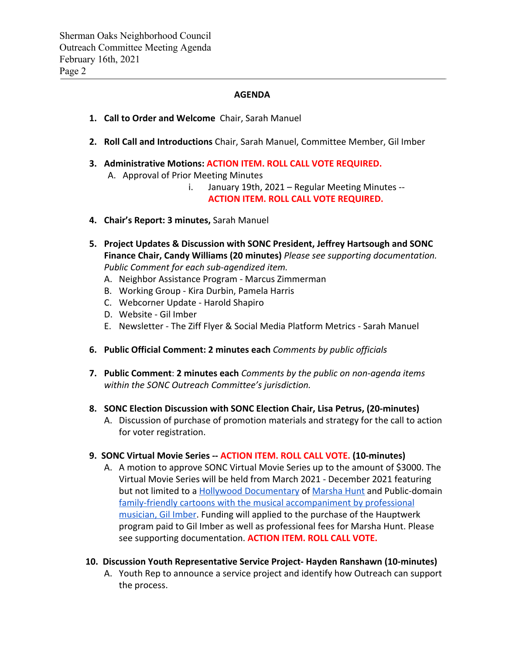#### **AGENDA**

- **1. Call to Order and Welcome** Chair, Sarah Manuel
- **2. Roll Call and Introductions** Chair, Sarah Manuel, Committee Member, Gil Imber
- **3. Administrative Motions: ACTION ITEM. ROLL CALL VOTE REQUIRED.** A. Approval of Prior Meeting Minutes

i. January 19th, 2021 – Regular Meeting Minutes -- **ACTION ITEM. ROLL CALL VOTE REQUIRED.**

- **4. Chair's Report: 3 minutes,** Sarah Manuel
- **5. Project Updates & Discussion with SONC President, Jeffrey Hartsough and SONC Finance Chair, Candy Williams (20 minutes)** *Please see supporting documentation. Public Comment for each sub-agendized item.*
	- A. Neighbor Assistance Program Marcus Zimmerman
	- B. Working Group Kira Durbin, Pamela Harris
	- C. Webcorner Update Harold Shapiro
	- D. Website Gil Imber
	- E. Newsletter The Ziff Flyer & Social Media Platform Metrics Sarah Manuel
- **6. Public Official Comment: 2 minutes each** *Comments by public officials*
- **7. Public Comment**: **2 minutes each** *Comments by the public on non-agenda items within the SONC Outreach Committee's jurisdiction.*
- **8. SONC Election Discussion with SONC Election Chair, Lisa Petrus, (20-minutes)**
	- A. Discussion of purchase of promotion materials and strategy for the call to action for voter registration.

#### **9. SONC Virtual Movie Series -- ACTION ITEM. ROLL CALL VOTE. (10-minutes)**

- A. A motion to approve SONC Virtual Movie Series up to the amount of \$3000. The Virtual Movie Series will be held from March 2021 - December 2021 featuring but not limited to a [Hollywood Documentary](https://www.youtube.com/watch?v=xZ6T-qlO7w4) of [Marsha Hunt](https://www.imdb.com/name/nm0402554/bio) and Public-domain [family-friendly cartoons with the musical accompaniment by professional](https://youtu.be/vrODRjLJjuY) [musician, Gil Imber.](https://youtu.be/vrODRjLJjuY) Funding will applied to the purchase of the Hauptwerk program paid to Gil Imber as well as professional fees for Marsha Hunt. Please see supporting documentation. **ACTION ITEM. ROLL CALL VOTE.**
- **10. Discussion Youth Representative Service Project- Hayden Ranshawn (10-minutes)**
	- A. Youth Rep to announce a service project and identify how Outreach can support the process.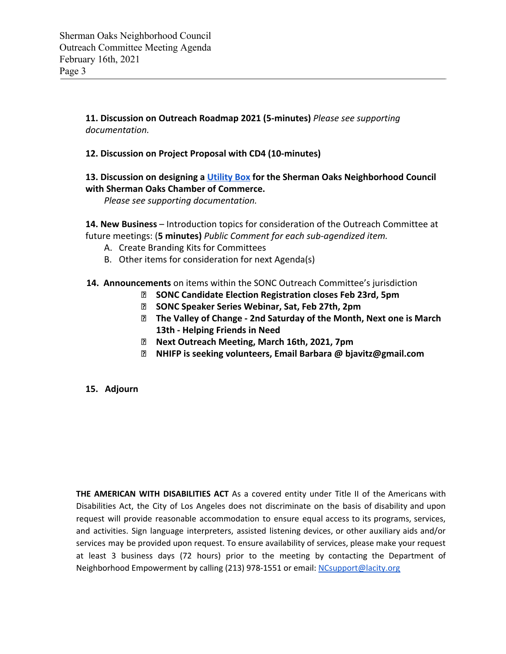**11. Discussion on Outreach Roadmap 2021 (5-minutes)** *Please see supporting documentation.*

## **12. Discussion on Project Proposal with CD4 (10-minutes)**

# **13. Discussion on designing a [Utility Box](https://youtu.be/oeBes1fJV5s) for the Sherman Oaks Neighborhood Council with Sherman Oaks Chamber of Commerce.**

*Please see supporting documentation.*

**14. New Business** – Introduction topics for consideration of the Outreach Committee at future meetings: (**5 minutes)** *Public Comment for each sub-agendized item.*

- A. Create Branding Kits for Committees
- B. Other items for consideration for next Agenda(s)
- **14. Announcements** on items within the SONC Outreach Committee's jurisdiction
	- **SONC Candidate Election Registration closes Feb 23rd, 5pm**
	- **SONC Speaker Series Webinar, Sat, Feb 27th, 2pm**
	- **The Valley of Change 2nd Saturday of the Month, Next one is March 13th - Helping Friends in Need**
	- **Next Outreach Meeting, March 16th, 2021, 7pm**
	- **NHIFP is seeking volunteers, Email Barbara @ bjavitz@gmail.com**

### **15. Adjourn**

**THE AMERICAN WITH DISABILITIES ACT** As a covered entity under Title II of the Americans with Disabilities Act, the City of Los Angeles does not discriminate on the basis of disability and upon request will provide reasonable accommodation to ensure equal access to its programs, services, and activities. Sign language interpreters, assisted listening devices, or other auxiliary aids and/or services may be provided upon request. To ensure availability of services, please make your request at least 3 business days (72 hours) prior to the meeting by contacting the Department of Neighborhood Empowerment by calling (213) 978-1551 or email: [NCsupport@lacity.org](mailto:NCsupport@lacity.org)